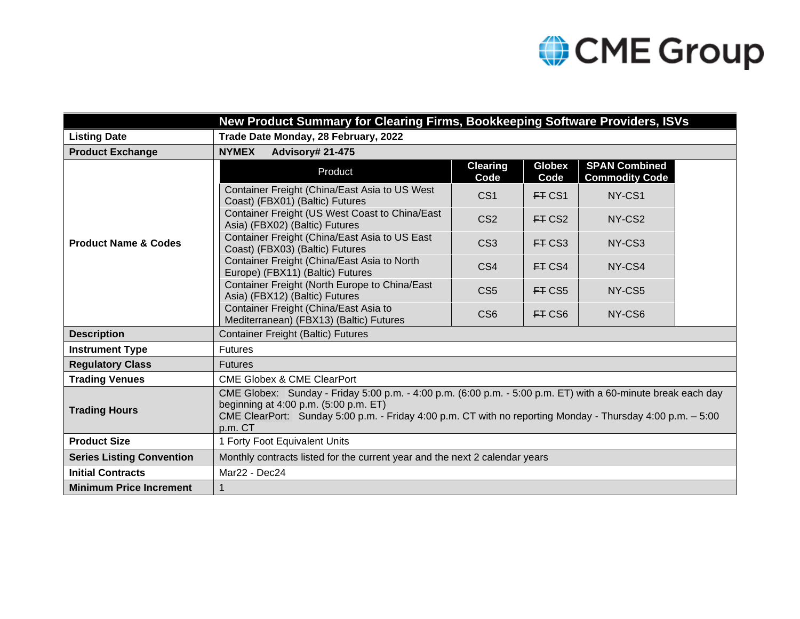## CME Group

| New Product Summary for Clearing Firms, Bookkeeping Software Providers, ISVs |                                                                                                                                                                                                                                                                                |                                                                                  |                         |                       |                                               |  |  |  |  |
|------------------------------------------------------------------------------|--------------------------------------------------------------------------------------------------------------------------------------------------------------------------------------------------------------------------------------------------------------------------------|----------------------------------------------------------------------------------|-------------------------|-----------------------|-----------------------------------------------|--|--|--|--|
| <b>Listing Date</b>                                                          | Trade Date Monday, 28 February, 2022                                                                                                                                                                                                                                           |                                                                                  |                         |                       |                                               |  |  |  |  |
| <b>Product Exchange</b>                                                      | <b>Advisory# 21-475</b><br><b>NYMEX</b>                                                                                                                                                                                                                                        |                                                                                  |                         |                       |                                               |  |  |  |  |
| <b>Product Name &amp; Codes</b>                                              |                                                                                                                                                                                                                                                                                | Product                                                                          | <b>Clearing</b><br>Code | <b>Globex</b><br>Code | <b>SPAN Combined</b><br><b>Commodity Code</b> |  |  |  |  |
|                                                                              | Container Freight (China/East Asia to US West<br>Coast) (FBX01) (Baltic) Futures                                                                                                                                                                                               |                                                                                  | CS <sub>1</sub>         | FT CS1                | NY-CS1                                        |  |  |  |  |
|                                                                              | Container Freight (US West Coast to China/East<br>Asia) (FBX02) (Baltic) Futures                                                                                                                                                                                               |                                                                                  | CS <sub>2</sub>         | ET CS2                | NY-CS <sub>2</sub>                            |  |  |  |  |
|                                                                              | Container Freight (China/East Asia to US East<br>Coast) (FBX03) (Baltic) Futures                                                                                                                                                                                               |                                                                                  | CS <sub>3</sub>         | FT CS3                | NY-CS3                                        |  |  |  |  |
|                                                                              | Container Freight (China/East Asia to North<br>Europe) (FBX11) (Baltic) Futures                                                                                                                                                                                                |                                                                                  | CS4                     | FT CS4                | NY-CS4                                        |  |  |  |  |
|                                                                              | Container Freight (North Europe to China/East<br>Asia) (FBX12) (Baltic) Futures                                                                                                                                                                                                |                                                                                  | CS <sub>5</sub>         | FT CS5                | NY-CS5                                        |  |  |  |  |
|                                                                              |                                                                                                                                                                                                                                                                                | Container Freight (China/East Asia to<br>Mediterranean) (FBX13) (Baltic) Futures | CS <sub>6</sub>         | FT CS6                | NY-CS6                                        |  |  |  |  |
| <b>Description</b>                                                           | <b>Container Freight (Baltic) Futures</b>                                                                                                                                                                                                                                      |                                                                                  |                         |                       |                                               |  |  |  |  |
| <b>Instrument Type</b>                                                       | <b>Futures</b>                                                                                                                                                                                                                                                                 |                                                                                  |                         |                       |                                               |  |  |  |  |
| <b>Regulatory Class</b>                                                      | <b>Futures</b>                                                                                                                                                                                                                                                                 |                                                                                  |                         |                       |                                               |  |  |  |  |
| <b>Trading Venues</b>                                                        | <b>CME Globex &amp; CME ClearPort</b>                                                                                                                                                                                                                                          |                                                                                  |                         |                       |                                               |  |  |  |  |
| <b>Trading Hours</b>                                                         | CME Globex: Sunday - Friday 5:00 p.m. - 4:00 p.m. (6:00 p.m. - 5:00 p.m. ET) with a 60-minute break each day<br>beginning at 4:00 p.m. (5:00 p.m. ET)<br>CME ClearPort: Sunday 5:00 p.m. - Friday 4:00 p.m. CT with no reporting Monday - Thursday 4:00 p.m. - 5:00<br>p.m. CT |                                                                                  |                         |                       |                                               |  |  |  |  |
| <b>Product Size</b>                                                          | 1 Forty Foot Equivalent Units                                                                                                                                                                                                                                                  |                                                                                  |                         |                       |                                               |  |  |  |  |
| <b>Series Listing Convention</b>                                             | Monthly contracts listed for the current year and the next 2 calendar years                                                                                                                                                                                                    |                                                                                  |                         |                       |                                               |  |  |  |  |
| <b>Initial Contracts</b>                                                     | Mar22 - Dec24                                                                                                                                                                                                                                                                  |                                                                                  |                         |                       |                                               |  |  |  |  |
| <b>Minimum Price Increment</b>                                               |                                                                                                                                                                                                                                                                                |                                                                                  |                         |                       |                                               |  |  |  |  |